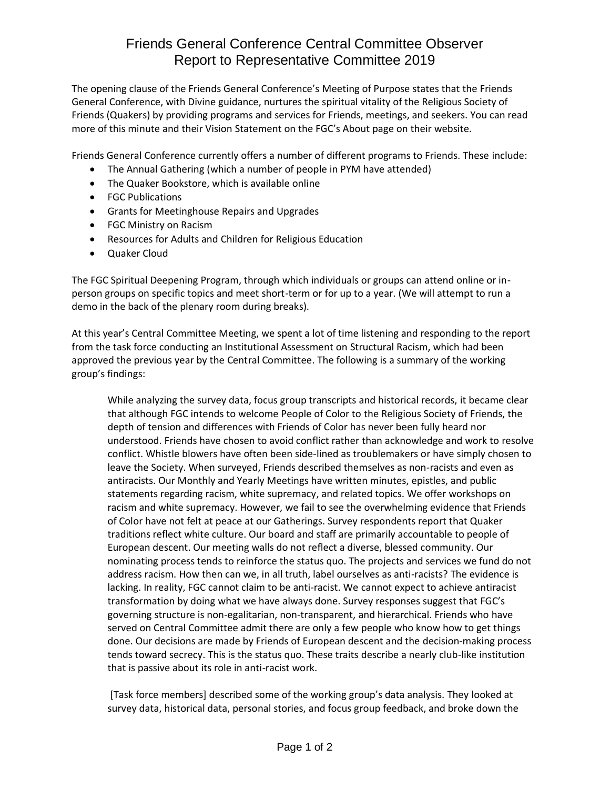## Friends General Conference Central Committee Observer Report to Representative Committee 2019

The opening clause of the Friends General Conference's Meeting of Purpose states that the Friends General Conference, with Divine guidance, nurtures the spiritual vitality of the Religious Society of Friends (Quakers) by providing programs and services for Friends, meetings, and seekers. You can read more of this minute and their Vision Statement on the FGC's About page on their website.

Friends General Conference currently offers a number of different programs to Friends. These include:

- The Annual Gathering (which a number of people in PYM have attended)
- The Quaker Bookstore, which is available online
- FGC Publications
- Grants for Meetinghouse Repairs and Upgrades
- FGC Ministry on Racism
- Resources for Adults and Children for Religious Education
- Quaker Cloud

The FGC Spiritual Deepening Program, through which individuals or groups can attend online or inperson groups on specific topics and meet short-term or for up to a year. (We will attempt to run a demo in the back of the plenary room during breaks).

At this year's Central Committee Meeting, we spent a lot of time listening and responding to the report from the task force conducting an Institutional Assessment on Structural Racism, which had been approved the previous year by the Central Committee. The following is a summary of the working group's findings:

While analyzing the survey data, focus group transcripts and historical records, it became clear that although FGC intends to welcome People of Color to the Religious Society of Friends, the depth of tension and differences with Friends of Color has never been fully heard nor understood. Friends have chosen to avoid conflict rather than acknowledge and work to resolve conflict. Whistle blowers have often been side-lined as troublemakers or have simply chosen to leave the Society. When surveyed, Friends described themselves as non-racists and even as antiracists. Our Monthly and Yearly Meetings have written minutes, epistles, and public statements regarding racism, white supremacy, and related topics. We offer workshops on racism and white supremacy. However, we fail to see the overwhelming evidence that Friends of Color have not felt at peace at our Gatherings. Survey respondents report that Quaker traditions reflect white culture. Our board and staff are primarily accountable to people of European descent. Our meeting walls do not reflect a diverse, blessed community. Our nominating process tends to reinforce the status quo. The projects and services we fund do not address racism. How then can we, in all truth, label ourselves as anti-racists? The evidence is lacking. In reality, FGC cannot claim to be anti-racist. We cannot expect to achieve antiracist transformation by doing what we have always done. Survey responses suggest that FGC's governing structure is non-egalitarian, non-transparent, and hierarchical. Friends who have served on Central Committee admit there are only a few people who know how to get things done. Our decisions are made by Friends of European descent and the decision-making process tends toward secrecy. This is the status quo. These traits describe a nearly club-like institution that is passive about its role in anti-racist work.

[Task force members] described some of the working group's data analysis. They looked at survey data, historical data, personal stories, and focus group feedback, and broke down the